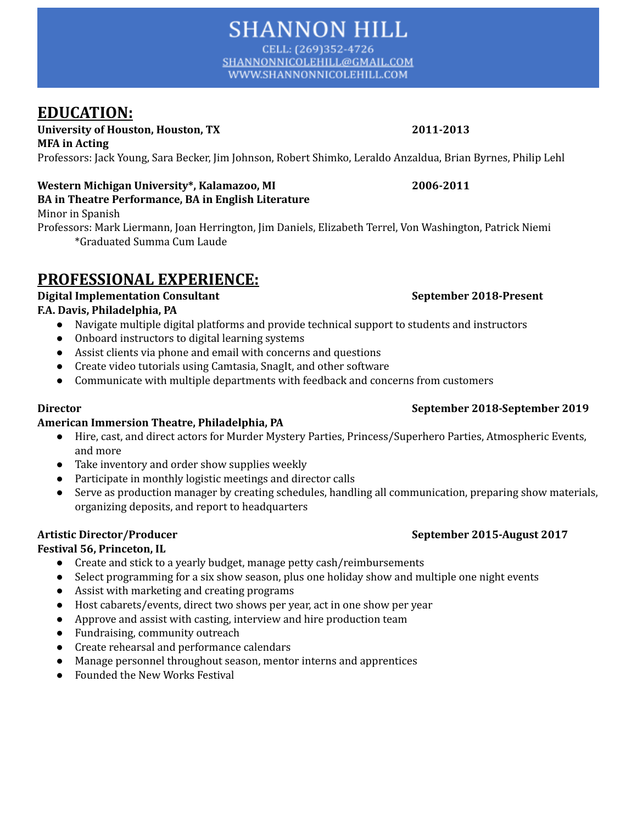CELL: (269)352-4726 SHANNONNICOLEHILL@GMAIL.COM WWW.SHANNONNICOLEHILL.COM

# **EDUCATION:**

**University of Houston, Houston, TX 2011-2013 MFA in Acting**

Professors: Jack Young, Sara Becker, Jim Johnson, Robert Shimko, Leraldo Anzaldua, Brian Byrnes, Philip Lehl

### **Western Michigan University\*, Kalamazoo, MI 2006-2011 BA in Theatre Performance, BA in English Literature**

Minor in Spanish

Professors: Mark Liermann, Joan Herrington, Jim Daniels, Elizabeth Terrel, Von Washington, Patrick Niemi \*Graduated Summa Cum Laude

# **PROFESSIONAL EXPERIENCE:**

#### **Digital Implementation Consultant September 2018-Present F.A. Davis, Philadelphia, PA**

- **●** Navigate multiple digital platforms and provide technical support to students and instructors
- Onboard instructors to digital learning systems
- **●** Assist clients via phone and email with concerns and questions
- **●** Create video tutorials using Camtasia, SnagIt, and other software
- **●** Communicate with multiple departments with feedback and concerns from customers

## **American Immersion Theatre, Philadelphia, PA**

- **●** Hire, cast, and direct actors for Murder Mystery Parties, Princess/Superhero Parties, Atmospheric Events, and more
- **●** Take inventory and order show supplies weekly
- **●** Participate in monthly logistic meetings and director calls
- **●** Serve as production manager by creating schedules, handling all communication, preparing show materials, organizing deposits, and report to headquarters

## **Artistic Director/Producer September 2015-August 2017**

## **Festival 56, Princeton, IL**

- Create and stick to a yearly budget, manage petty cash/reimbursements
- Select programming for a six show season, plus one holiday show and multiple one night events
- Assist with marketing and creating programs
- Host cabarets/events, direct two shows per year, act in one show per year
- Approve and assist with casting, interview and hire production team
- Fundraising, community outreach
- Create rehearsal and performance calendars
- Manage personnel throughout season, mentor interns and apprentices
- Founded the New Works Festival

## **Director September 2018-September 2019**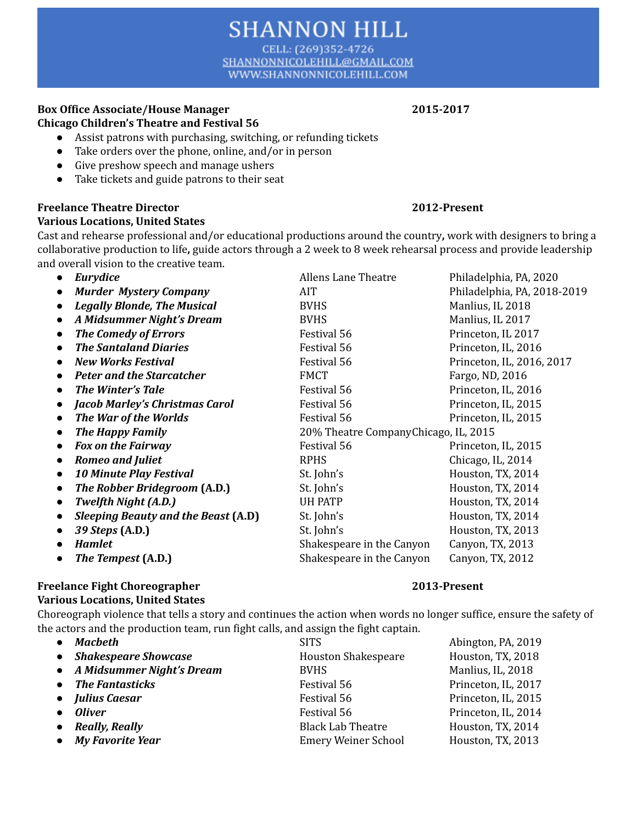#### CELL: (269)352-4726 SHANNONNICOLEHILL@GMAIL.COM WWW.SHANNONNICOLEHILL.COM

**SHANNON HILL** 

#### **Box Office Associate/House Manager 2015-2017 Chicago Children's Theatre and Festival 56**

- Assist patrons with purchasing, switching, or refunding tickets
- Take orders over the phone, online, and/or in person
- Give preshow speech and manage ushers
- Take tickets and guide patrons to their seat

## **Freelance Theatre Director 2012-Present**

#### **Various Locations, United States**

Cast and rehearse professional and/or educational productions around the country**,** work with designers to bring a collaborative production to life**,** guide actors through a 2 week to 8 week rehearsal process and provide leadership and overall vision to the creative team.

| $\bullet$ | Eurydice                                   | <b>Allens Lane Theatre</b>            | Philadelphia, PA, 2020      |  |
|-----------|--------------------------------------------|---------------------------------------|-----------------------------|--|
|           | <b>Murder Mystery Company</b>              | AIT                                   | Philadelphia, PA, 2018-2019 |  |
| $\bullet$ | <b>Legally Blonde, The Musical</b>         | <b>BVHS</b>                           | Manlius, IL 2018            |  |
|           | A Midsummer Night's Dream                  | <b>BVHS</b>                           | Manlius, IL 2017            |  |
| $\bullet$ | <b>The Comedy of Errors</b>                | Festival 56                           | Princeton, IL 2017          |  |
|           | <b>The Santaland Diaries</b>               | Festival 56                           | Princeton, IL, 2016         |  |
|           | <b>New Works Festival</b>                  | <b>Festival 56</b>                    | Princeton, IL, 2016, 2017   |  |
|           | <b>Peter and the Starcatcher</b>           | <b>FMCT</b>                           | Fargo, ND, 2016             |  |
|           | <b>The Winter's Tale</b>                   | Festival 56                           | Princeton, IL, 2016         |  |
| $\bullet$ | <b>Jacob Marley's Christmas Carol</b>      | Festival 56                           | Princeton, IL, 2015         |  |
| $\bullet$ | The War of the Worlds                      | Festival 56                           | Princeton, IL, 2015         |  |
| $\bullet$ | <b>The Happy Family</b>                    | 20% Theatre Company Chicago, IL, 2015 |                             |  |
|           | <b>Fox on the Fairway</b>                  | Festival 56                           | Princeton, IL, 2015         |  |
|           | <b>Romeo and Juliet</b>                    | <b>RPHS</b>                           | Chicago, IL, 2014           |  |
|           | <b>10 Minute Play Festival</b>             | St. John's                            | Houston, TX, 2014           |  |
| $\bullet$ | The Robber Bridegroom (A.D.)               | St. John's                            | Houston, TX, 2014           |  |
| $\bullet$ | <b>Twelfth Night (A.D.)</b>                | <b>UH PATP</b>                        | Houston, TX, 2014           |  |
|           | <b>Sleeping Beauty and the Beast (A.D)</b> | St. John's                            | Houston, TX, 2014           |  |
| $\bullet$ | 39 Steps (A.D.)                            | St. John's                            | Houston, TX, 2013           |  |
|           | <b>Hamlet</b>                              | Shakespeare in the Canyon             | Canyon, TX, 2013            |  |
|           | The Tempest (A.D.)                         | Shakespeare in the Canyon             | Canyon, TX, 2012            |  |
|           |                                            |                                       |                             |  |

### **Freelance Fight Choreographer 2013-Present**

### **Various Locations, United States**

Choreograph violence that tells a story and continues the action when words no longer suffice, ensure the safety of the actors and the production team, run fight calls, and assign the fight captain.

| $\bullet$ Macbeth           | <b>SITS</b>                | Abington, PA, 2019  |
|-----------------------------|----------------------------|---------------------|
| • Shakespeare Showcase      | <b>Houston Shakespeare</b> | Houston, TX, 2018   |
| • A Midsummer Night's Dream | <b>BVHS</b>                | Manlius, IL, 2018   |
| • The Fantasticks           | Festival 56                | Princeton, IL, 2017 |
| • Julius Caesar             | Festival 56                | Princeton, IL, 2015 |
| • Oliver                    | Festival 56                | Princeton, IL, 2014 |
| • Really, Really            | <b>Black Lab Theatre</b>   | Houston, TX, 2014   |
| • My Favorite Year          | <b>Emery Weiner School</b> | Houston, TX, 2013   |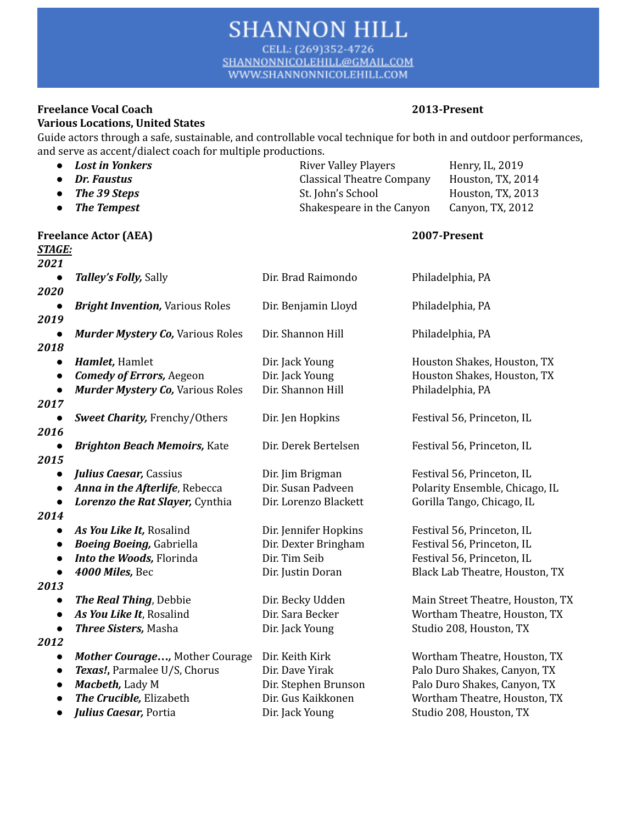CELL: (269)352-4726 SHANNONNICOLEHILL@GMAIL.COM WWW.SHANNONNICOLEHILL.COM

#### **Freelance Vocal Coach 2013-Present Various Locations, United States**

Guide actors through a safe, sustainable, and controllable vocal technique for both in and outdoor performances, and serve as accent/dialect coach for multiple productions.

| $\bullet$             | <b>Lost in Yonkers</b><br><b>Dr. Faustus</b> | <b>River Valley Players</b><br><b>Classical Theatre Company</b> |  | Henry, IL, 2019<br>Houston, TX, 2014 |
|-----------------------|----------------------------------------------|-----------------------------------------------------------------|--|--------------------------------------|
| The 39 Steps          |                                              | St. John's School                                               |  | Houston, TX, 2013                    |
| $\bullet$             | <b>The Tempest</b>                           | Shakespeare in the Canyon                                       |  | Canyon, TX, 2012                     |
|                       |                                              |                                                                 |  |                                      |
|                       | <b>Freelance Actor (AEA)</b>                 |                                                                 |  | 2007-Present                         |
| <b>STAGE:</b><br>2021 |                                              |                                                                 |  |                                      |
|                       | Talley's Folly, Sally                        | Dir. Brad Raimondo                                              |  | Philadelphia, PA                     |
| 2020                  |                                              |                                                                 |  |                                      |
|                       | <b>Bright Invention, Various Roles</b>       | Dir. Benjamin Lloyd                                             |  | Philadelphia, PA                     |
| 2019                  |                                              |                                                                 |  |                                      |
|                       | <b>Murder Mystery Co, Various Roles</b>      | Dir. Shannon Hill                                               |  | Philadelphia, PA                     |
| 2018                  |                                              |                                                                 |  |                                      |
|                       | Hamlet, Hamlet                               | Dir. Jack Young                                                 |  | Houston Shakes, Houston, TX          |
| $\bullet$             | <b>Comedy of Errors</b> , Aegeon             | Dir. Jack Young                                                 |  | Houston Shakes, Houston, TX          |
| $\bullet$             | <b>Murder Mystery Co, Various Roles</b>      | Dir. Shannon Hill                                               |  | Philadelphia, PA                     |
| 2017                  |                                              |                                                                 |  |                                      |
| 2016                  | <b>Sweet Charity, Frenchy/Others</b>         | Dir. Jen Hopkins                                                |  | Festival 56, Princeton, IL           |
|                       | <b>Brighton Beach Memoirs, Kate</b>          | Dir. Derek Bertelsen                                            |  | Festival 56, Princeton, IL           |
| 2015                  |                                              |                                                                 |  |                                      |
|                       | <b>Julius Caesar, Cassius</b>                | Dir. Jim Brigman                                                |  | Festival 56, Princeton, IL           |
| $\bullet$             | Anna in the Afterlife, Rebecca               | Dir. Susan Padveen                                              |  | Polarity Ensemble, Chicago, IL       |
| $\bullet$             | Lorenzo the Rat Slayer, Cynthia              | Dir. Lorenzo Blackett                                           |  | Gorilla Tango, Chicago, IL           |
| 2014                  |                                              |                                                                 |  |                                      |
|                       | As You Like It, Rosalind                     | Dir. Jennifer Hopkins                                           |  | Festival 56, Princeton, IL           |
| $\bullet$             | <b>Boeing Boeing, Gabriella</b>              | Dir. Dexter Bringham                                            |  | Festival 56, Princeton, IL           |
| $\bullet$             | Into the Woods, Florinda                     | Dir. Tim Seib                                                   |  | Festival 56, Princeton, IL           |
| $\bullet$             | 4000 Miles, Bec                              | Dir. Justin Doran                                               |  | Black Lab Theatre, Houston, TX       |
| 2013                  |                                              |                                                                 |  |                                      |
|                       | The Real Thing, Debbie                       | Dir. Becky Udden                                                |  | Main Street Theatre, Houston, TX     |
| $\bullet$             | As You Like It, Rosalind                     | Dir. Sara Becker                                                |  | Wortham Theatre, Houston, TX         |
|                       | Three Sisters, Masha                         | Dir. Jack Young                                                 |  | Studio 208, Houston, TX              |
| 2012<br>$\bullet$     | Mother Courage, Mother Courage               | Dir. Keith Kirk                                                 |  | Wortham Theatre, Houston, TX         |
| $\bullet$             | Texas!, Parmalee U/S, Chorus                 | Dir. Dave Yirak                                                 |  | Palo Duro Shakes, Canyon, TX         |
| $\bullet$             | Macbeth, Lady M                              | Dir. Stephen Brunson                                            |  | Palo Duro Shakes, Canyon, TX         |
|                       | The Crucible, Elizabeth                      | Dir. Gus Kaikkonen                                              |  | Wortham Theatre, Houston, TX         |
| $\bullet$             | Julius Caesar, Portia                        | Dir. Jack Young                                                 |  | Studio 208, Houston, TX              |
|                       |                                              |                                                                 |  |                                      |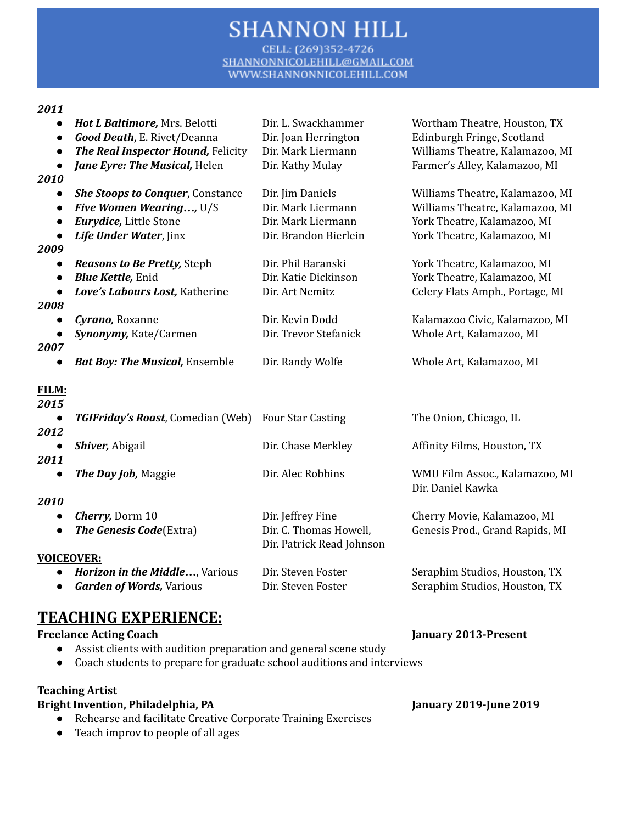CELL: (269)352-4726 SHANNONNICOLEHILL@GMAIL.COM WWW.SHANNONNICOLEHILL.COM

#### *2011*

| $\bullet$<br>$\bullet$<br>$\bullet$ | Hot L Baltimore, Mrs. Belotti<br>Good Death, E. Rivet/Deanna<br>The Real Inspector Hound, Felicity | Dir. L. Swackhammer<br>Dir. Joan Herrington<br>Dir. Mark Liermann | Wortham Theatre, Houston, TX<br>Edinburgh Fringe, Scotland<br>Williams Theatre, Kalamazoo, MI |
|-------------------------------------|----------------------------------------------------------------------------------------------------|-------------------------------------------------------------------|-----------------------------------------------------------------------------------------------|
| $\bullet$<br>2010                   | Jane Eyre: The Musical, Helen                                                                      | Dir. Kathy Mulay                                                  | Farmer's Alley, Kalamazoo, MI                                                                 |
|                                     | <b>She Stoops to Conquer, Constance</b>                                                            | Dir. Jim Daniels                                                  | Williams Theatre, Kalamazoo, MI                                                               |
|                                     | Five Women Wearing, U/S                                                                            | Dir. Mark Liermann                                                | Williams Theatre, Kalamazoo, MI                                                               |
|                                     | Eurydice, Little Stone                                                                             | Dir. Mark Liermann                                                | York Theatre, Kalamazoo, MI                                                                   |
|                                     | Life Under Water, Jinx                                                                             | Dir. Brandon Bierlein                                             | York Theatre, Kalamazoo, MI                                                                   |
| 2009                                |                                                                                                    |                                                                   |                                                                                               |
|                                     | <b>Reasons to Be Pretty, Steph</b>                                                                 | Dir. Phil Baranski                                                | York Theatre, Kalamazoo, MI                                                                   |
|                                     | <b>Blue Kettle, Enid</b>                                                                           | Dir. Katie Dickinson                                              | York Theatre, Kalamazoo, MI                                                                   |
| $\bullet$                           | Love's Labours Lost, Katherine                                                                     | Dir. Art Nemitz                                                   | Celery Flats Amph., Portage, MI                                                               |
| 2008                                |                                                                                                    |                                                                   |                                                                                               |
|                                     | Cyrano, Roxanne                                                                                    | Dir. Kevin Dodd                                                   | Kalamazoo Civic, Kalamazoo, MI                                                                |
|                                     | Synonymy, Kate/Carmen                                                                              | Dir. Trevor Stefanick                                             | Whole Art, Kalamazoo, MI                                                                      |
| 2007                                |                                                                                                    |                                                                   |                                                                                               |
|                                     | <b>Bat Boy: The Musical, Ensemble</b>                                                              | Dir. Randy Wolfe                                                  | Whole Art, Kalamazoo, MI                                                                      |
| <u>FILM:</u>                        |                                                                                                    |                                                                   |                                                                                               |
| 2015                                |                                                                                                    |                                                                   |                                                                                               |
| $\bullet$                           | <b>TGIFriday's Roast, Comedian (Web)</b>                                                           | <b>Four Star Casting</b>                                          | The Onion, Chicago, IL                                                                        |
| 2012                                |                                                                                                    |                                                                   |                                                                                               |
| $\bullet$                           | Shiver, Abigail                                                                                    | Dir. Chase Merkley                                                | Affinity Films, Houston, TX                                                                   |
| 2011                                |                                                                                                    |                                                                   |                                                                                               |
| $\bullet$                           | The Day Job, Maggie                                                                                | Dir. Alec Robbins                                                 | WMU Film Assoc., Kalamazoo, MI<br>Dir. Daniel Kawka                                           |
| 2010                                |                                                                                                    |                                                                   |                                                                                               |
| $\bullet$                           | Cherry, Dorm 10                                                                                    | Dir. Jeffrey Fine                                                 | Cherry Movie, Kalamazoo, MI                                                                   |
| $\bullet$                           | <b>The Genesis Code</b> (Extra)                                                                    | Dir. C. Thomas Howell,<br>Dir. Patrick Read Johnson               | Genesis Prod., Grand Rapids, MI                                                               |
| <b>VOICEOVER:</b>                   |                                                                                                    |                                                                   |                                                                                               |
| $\bullet$                           | Horizon in the Middle, Various                                                                     | Dir. Steven Foster                                                | Seraphim Studios, Houston, TX                                                                 |

# **TEACHING EXPERIENCE:**

**Freelance Acting Coach January 2013-Present**

- Assist clients with audition preparation and general scene study
- Coach students to prepare for graduate school auditions and interviews

#### **Teaching Artist**

## **Bright Invention, Philadelphia, PA January 2019-June 2019**

- Rehearse and facilitate Creative Corporate Training Exercises
- Teach improv to people of all ages

• **Garden of Words**, Various **Dir. Steven Foster** Seraphim Studios, Houston, TX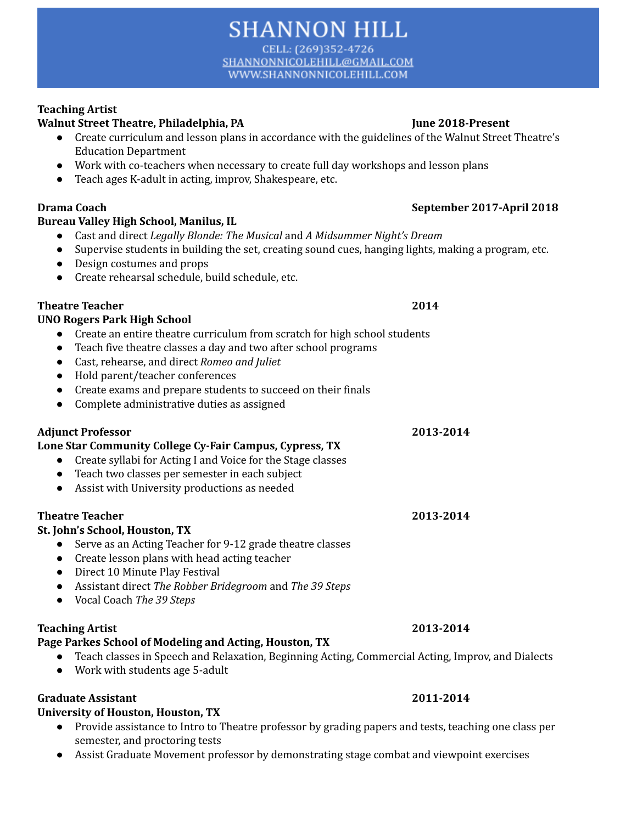CELL: (269)352-4726 SHANNONNICOLEHILL@GMAIL.COM WWW.SHANNONNICOLEHILL.COM

### **Teaching Artist**

#### **Walnut Street Theatre, Philadelphia, PA June 2018-Present**

- Create curriculum and lesson plans in accordance with the guidelines of the Walnut Street Theatre's Education Department
- Work with co-teachers when necessary to create full day workshops and lesson plans
- Teach ages K-adult in acting, improv, Shakespeare, etc.

#### **Bureau Valley High School, Manilus, IL**

- **●** Cast and direct *Legally Blonde: The Musical* and *A Midsummer Night's Dream*
- **●** Supervise students in building the set, creating sound cues, hanging lights, making a program, etc.
- **●** Design costumes and props
- **●** Create rehearsal schedule, build schedule, etc.

#### **Theatre Teacher 2014**

#### **UNO Rogers Park High School**

- **●** Create an entire theatre curriculum from scratch for high school students
- **●** Teach five theatre classes a day and two after school programs
- Cast, rehearse, and direct *Romeo and Juliet*
- Hold parent/teacher conferences
- Create exams and prepare students to succeed on their finals
- Complete administrative duties as assigned

### **Adjunct Professor 2013-2014**

### **Lone Star Community College Cy-Fair Campus, Cypress, TX**

- Create syllabi for Acting I and Voice for the Stage classes
- Teach two classes per semester in each subject
- Assist with University productions as needed

### **Theatre Teacher 2013-2014**

### **St. John's School, Houston, TX**

- **●** Serve as an Acting Teacher for 9-12 grade theatre classes
- Create lesson plans with head acting teacher
- **●** Direct 10 Minute Play Festival
- **●** Assistant direct *The Robber Bridegroom* and *The 39 Steps*
- **●** Vocal Coach *The 39 Steps*

#### **Teaching Artist 2013-2014**

## **Page Parkes School of Modeling and Acting, Houston, TX**

- Teach classes in Speech and Relaxation, Beginning Acting, Commercial Acting, Improv, and Dialects
- Work with students age 5-adult

### **Graduate Assistant 2011-2014**

### **University of Houston, Houston, TX**

- **●** Provide assistance to Intro to Theatre professor by grading papers and tests, teaching one class per semester, and proctoring tests
- **●** Assist Graduate Movement professor by demonstrating stage combat and viewpoint exercises

## **Drama Coach September 2017-April 2018**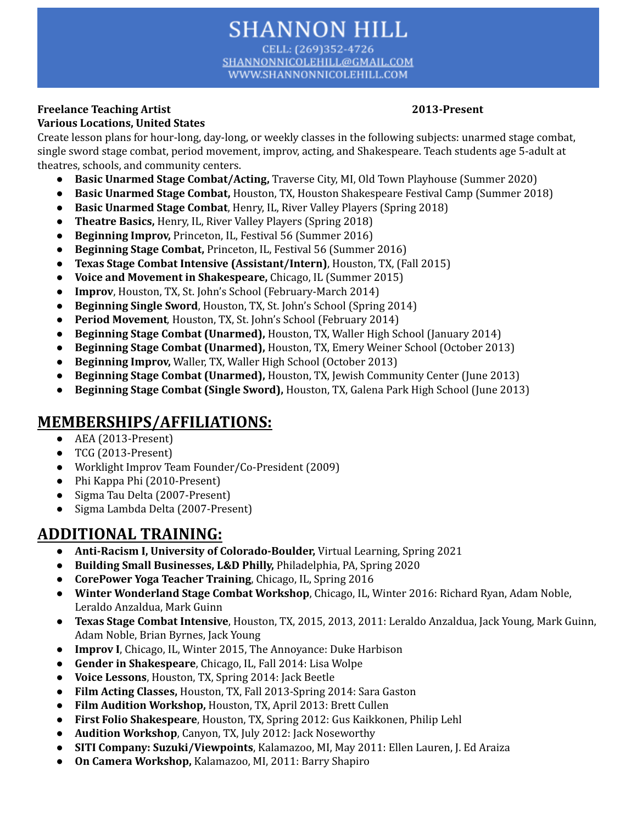CELL: (269)352-4726 SHANNONNICOLEHILL@GMAIL.COM WWW.SHANNONNICOLEHILL.COM

#### **Freelance Teaching Artist 2013-Present Various Locations, United States**

Create lesson plans for hour-long, day-long, or weekly classes in the following subjects: unarmed stage combat, single sword stage combat, period movement, improv, acting, and Shakespeare. Teach students age 5-adult at theatres, schools, and community centers.

- **● Basic Unarmed Stage Combat/Acting,** Traverse City, MI, Old Town Playhouse (Summer 2020)
- **● Basic Unarmed Stage Combat,** Houston, TX, Houston Shakespeare Festival Camp (Summer 2018)
- **● Basic Unarmed Stage Combat**, Henry, IL, River Valley Players (Spring 2018)
- **● Theatre Basics,** Henry, IL, River Valley Players (Spring 2018)
- **● Beginning Improv,** Princeton, IL, Festival 56 (Summer 2016)
- **● Beginning Stage Combat,** Princeton, IL, Festival 56 (Summer 2016)
- **Texas Stage Combat Intensive (Assistant/Intern)**, Houston, TX, (Fall 2015)
- **Voice and Movement in Shakespeare,** Chicago, IL (Summer 2015)
- **Improv**, Houston, TX, St. John's School (February-March 2014)
- **Beginning Single Sword**, Houston, TX, St. John's School (Spring 2014)
- **Period Movement***,* Houston, TX, St. John's School (February 2014)
- **Beginning Stage Combat (Unarmed),** Houston, TX, Waller High School (January 2014)
- **Beginning Stage Combat (Unarmed),** Houston, TX, Emery Weiner School (October 2013)
- **Beginning Improv,** Waller, TX, Waller High School (October 2013)
- **Beginning Stage Combat (Unarmed),** Houston, TX, Jewish Community Center (June 2013)
- **● Beginning Stage Combat (Single Sword),** Houston, TX, Galena Park High School (June 2013)

# **MEMBERSHIPS/AFFILIATIONS:**

- AEA (2013-Present)
- TCG (2013-Present)
- Worklight Improv Team Founder/Co-President (2009)
- Phi Kappa Phi (2010-Present)
- Sigma Tau Delta (2007-Present)
- Sigma Lambda Delta (2007-Present)

# **ADDITIONAL TRAINING:**

- **Anti-Racism I, University of Colorado-Boulder,** Virtual Learning, Spring 2021
- **Building Small Businesses, L&D Philly,** Philadelphia, PA, Spring 2020
- **CorePower Yoga Teacher Training**, Chicago, IL, Spring 2016
- **Winter Wonderland Stage Combat Workshop**, Chicago, IL, Winter 2016: Richard Ryan, Adam Noble, Leraldo Anzaldua, Mark Guinn
- **Texas Stage Combat Intensive**, Houston, TX, 2015, 2013, 2011: Leraldo Anzaldua, Jack Young, Mark Guinn, Adam Noble, Brian Byrnes, Jack Young
- **Improv I**, Chicago, IL, Winter 2015, The Annoyance: Duke Harbison
- **Gender in Shakespeare**, Chicago, IL, Fall 2014: Lisa Wolpe
- **Voice Lessons**, Houston, TX, Spring 2014: Jack Beetle
- **Film Acting Classes,** Houston, TX, Fall 2013-Spring 2014: Sara Gaston
- **Film Audition Workshop,** Houston, TX, April 2013: Brett Cullen
- **First Folio Shakespeare**, Houston, TX, Spring 2012: Gus Kaikkonen, Philip Lehl
- **Audition Workshop**, Canyon, TX, July 2012: Jack Noseworthy
- **SITI Company: Suzuki/Viewpoints**, Kalamazoo, MI, May 2011: Ellen Lauren, J. Ed Araiza
- **On Camera Workshop,** Kalamazoo, MI, 2011: Barry Shapiro